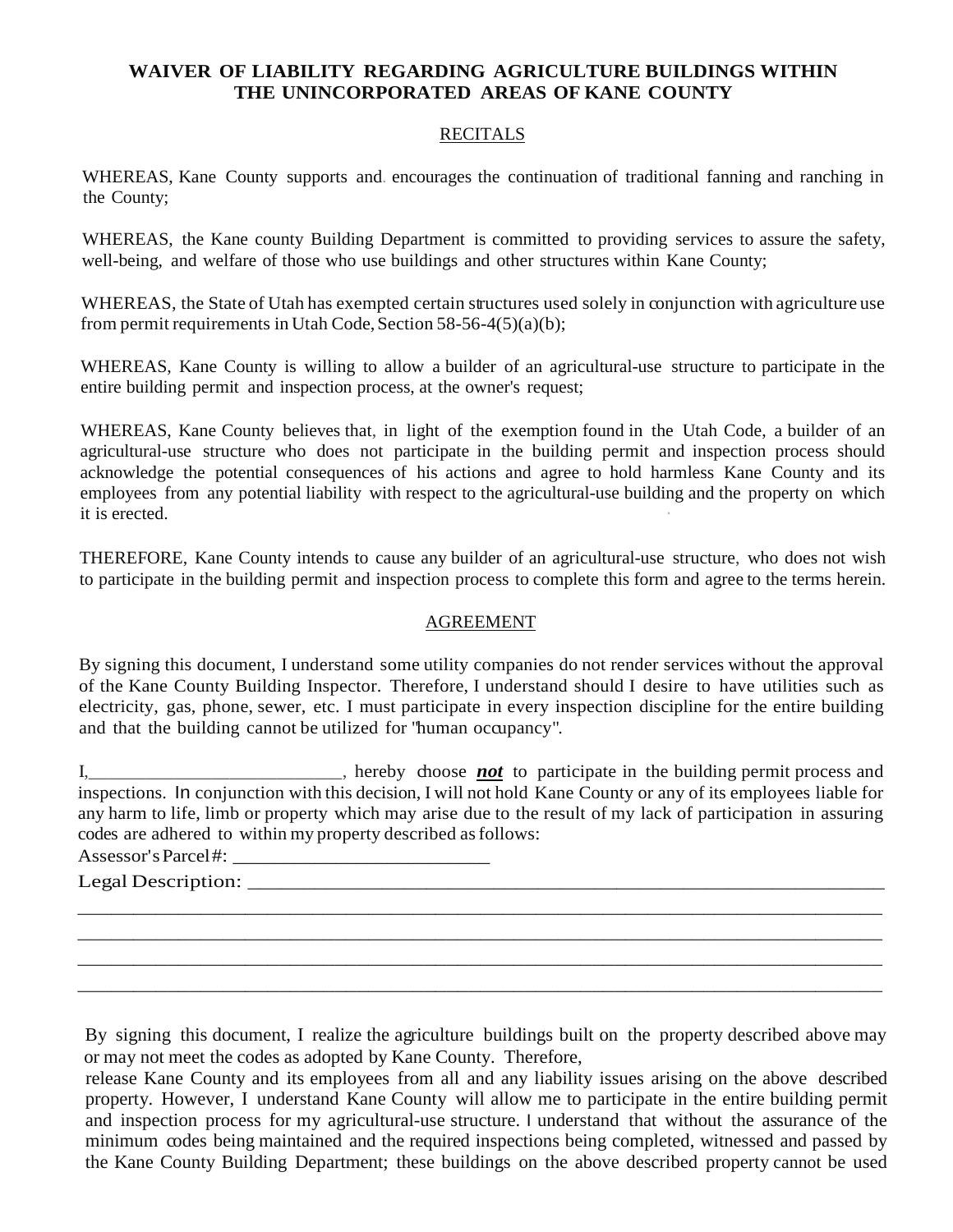## **WAIVER OF LIABILITY REGARDING AGRICULTURE BUILDINGS WITHIN THE UNINCORPORATED AREAS OF KANE COUNTY**

## **RECITALS**

WHEREAS, Kane County supports and. encourages the continuation of traditional fanning and ranching in the County;

WHEREAS, the Kane county Building Department is committed to providing services to assure the safety, well-being, and welfare of those who use buildings and other structures within Kane County;

WHEREAS, the State of Utah has exempted certain structures used solely in conjunction with agriculture use from permit requirements in Utah Code, Section  $58-56-4(5)(a)(b)$ ;

WHEREAS, Kane County is willing to allow a builder of an agricultural-use structure to participate in the entire building permit and inspection process, at the owner's request;

WHEREAS, Kane County believes that, in light of the exemption found in the Utah Code, a builder of an agricultural-use structure who does not participate in the building permit and inspection process should acknowledge the potential consequences of his actions and agree to hold harmless Kane County and its employees from any potential liability with respect to the agricultural-use building and the property on which it is erected.

THEREFORE, Kane County intends to cause any builder of an agricultural-use structure, who does not wish to participate in the building permit and inspection process to complete this form and agree to the terms herein.

## AGREEMENT

By signing this document, I understand some utility companies do not render services without the approval of the Kane County Building Inspector. Therefore, I understand should I desire to have utilities such as electricity, gas, phone, sewer, etc. I must participate in every inspection discipline for the entire building and that the building cannot be utilized for "human occupancy".

I,\_\_\_\_\_\_\_\_\_\_\_\_\_\_\_\_\_\_\_\_\_\_\_\_\_\_\_, hereby choose *not* to participate in the building permit process and inspections. In conjunction with this decision, I will not hold Kane County or any of its employees liable for any harm to life, limb or property which may arise due to the result of my lack of participation in assuring codes are adhered to within my property described asfollows:

\_\_\_\_\_\_\_\_\_\_\_\_\_\_\_\_\_\_\_\_\_\_\_\_\_\_\_\_\_\_\_\_\_\_\_\_\_\_\_\_\_\_\_\_\_\_\_\_\_\_\_\_\_\_\_\_\_\_\_\_\_\_\_\_\_\_\_\_\_\_\_\_ \_\_\_\_\_\_\_\_\_\_\_\_\_\_\_\_\_\_\_\_\_\_\_\_\_\_\_\_\_\_\_\_\_\_\_\_\_\_\_\_\_\_\_\_\_\_\_\_\_\_\_\_\_\_\_\_\_\_\_\_\_\_\_\_\_\_\_\_\_\_\_\_ \_\_\_\_\_\_\_\_\_\_\_\_\_\_\_\_\_\_\_\_\_\_\_\_\_\_\_\_\_\_\_\_\_\_\_\_\_\_\_\_\_\_\_\_\_\_\_\_\_\_\_\_\_\_\_\_\_\_\_\_\_\_\_\_\_\_\_\_\_\_\_\_ \_\_\_\_\_\_\_\_\_\_\_\_\_\_\_\_\_\_\_\_\_\_\_\_\_\_\_\_\_\_\_\_\_\_\_\_\_\_\_\_\_\_\_\_\_\_\_\_\_\_\_\_\_\_\_\_\_\_\_\_\_\_\_\_\_\_\_\_\_\_\_\_

Assessor'sParcel#: \_\_\_\_\_\_\_\_\_\_\_\_\_\_\_\_\_\_\_\_\_\_\_\_\_

Legal Description: \_\_\_\_\_\_\_\_\_\_\_\_\_\_\_\_\_\_\_\_\_\_\_\_\_\_\_\_\_\_\_\_\_\_\_\_\_\_\_\_\_\_\_\_\_\_\_\_\_\_\_\_\_\_\_\_\_

By signing this document, I realize the agriculture buildings built on the property described above may or may not meet the codes as adopted by Kane County. Therefore,

 release Kane County and its employees from all and any liability issues arising on the above described property. However, I understand Kane County will allow me to participate in the entire building permit and inspection process for my agricultural-use structure. I understand that without the assurance of the minimum codes being maintained and the required inspections being completed, witnessed and passed by the Kane County Building Department; these buildings on the above described property cannot be used